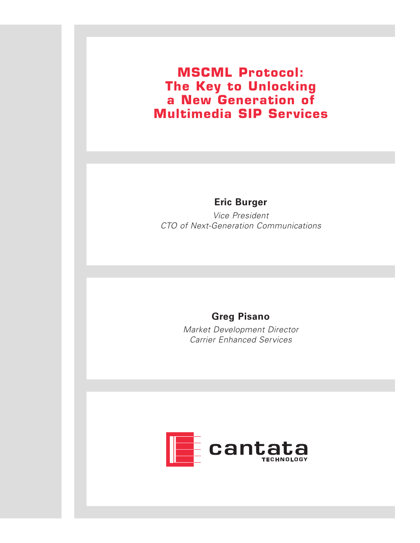**MSCML Protocol: The Key to Unlocking a New Generation of Multimedia SIP Services**

#### **Eric Burger**

Vice President CTO of Next-Generation Communications

#### **Greg Pisano**

Market Development Director Carrier Enhanced Services

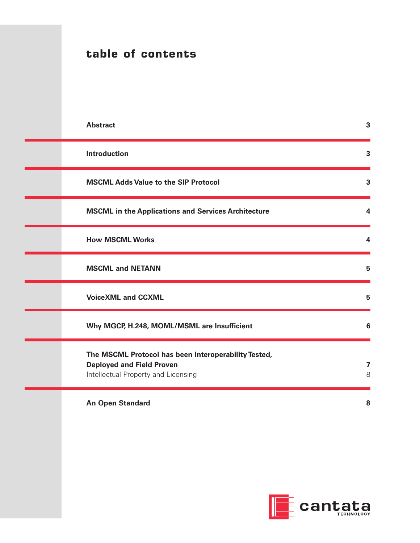|  | table of contents                                                                                                               |        |
|--|---------------------------------------------------------------------------------------------------------------------------------|--------|
|  |                                                                                                                                 |        |
|  | <b>Abstract</b>                                                                                                                 | 3      |
|  | <b>Introduction</b>                                                                                                             | 3      |
|  | <b>MSCML Adds Value to the SIP Protocol</b>                                                                                     | 3      |
|  | <b>MSCML in the Applications and Services Architecture</b>                                                                      | 4      |
|  | <b>How MSCML Works</b>                                                                                                          | 4      |
|  | <b>MSCML and NETANN</b>                                                                                                         | 5      |
|  | <b>VoiceXML and CCXML</b>                                                                                                       | 5      |
|  | Why MGCP, H.248, MOML/MSML are Insufficient                                                                                     | 6      |
|  | The MSCML Protocol has been Interoperability Tested,<br><b>Deployed and Field Proven</b><br>Intellectual Property and Licensing | 7<br>8 |
|  | <b>An Open Standard</b>                                                                                                         | 8      |
|  |                                                                                                                                 |        |
|  |                                                                                                                                 |        |

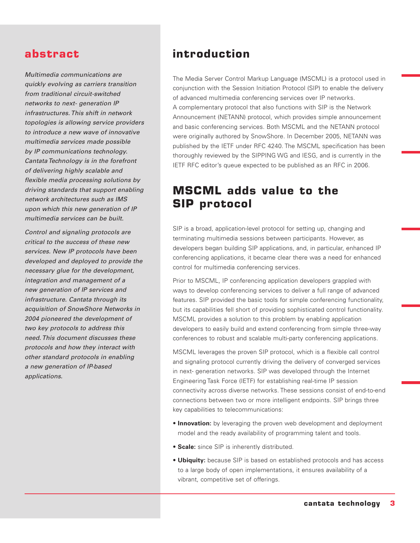#### **abstract**

Multimedia communications are quickly evolving as carriers transition from traditional circuit-switched networks to next- generation IP infrastructures. This shift in network topologies is allowing service providers to introduce a new wave of innovative multimedia services made possible by IP communications technology. Cantata Technology is in the forefront of delivering highly scalable and flexible media processing solutions by driving standards that support enabling network architectures such as IMS upon which this new generation of IP multimedia services can be built.

Control and signaling protocols are critical to the success of these new services. New IP protocols have been developed and deployed to provide the necessary glue for the development, integration and management of a new generation of IP services and infrastructure. Cantata through its acquisition of SnowShore Networks in 2004 pioneered the development of two key protocols to address this need. This document discusses these protocols and how they interact with other standard protocols in enabling a new generation of IP-based applications.

#### **introduction**

The Media Server Control Markup Language (MSCML) is a protocol used in conjunction with the Session Initiation Protocol (SIP) to enable the delivery of advanced multimedia conferencing services over IP networks. A complementary protocol that also functions with SIP is the Network Announcement (NETANN) protocol, which provides simple announcement and basic conferencing services. Both MSCML and the NETANN protocol were originally authored by SnowShore. In December 2005, NETANN was published by the IETF under RFC 4240. The MSCML specification has been thoroughly reviewed by the SIPPING WG and IESG, and is currently in the IETF RFC editor's queue expected to be published as an RFC in 2006.

## **MSCML adds value to the SIP protocol**

SIP is a broad, application-level protocol for setting up, changing and terminating multimedia sessions between participants. However, as developers began building SIP applications, and, in particular, enhanced IP conferencing applications, it became clear there was a need for enhanced control for multimedia conferencing services.

Prior to MSCML, IP conferencing application developers grappled with ways to develop conferencing services to deliver a full range of advanced features. SIP provided the basic tools for simple conferencing functionality, but its capabilities fell short of providing sophisticated control functionality. MSCML provides a solution to this problem by enabling application developers to easily build and extend conferencing from simple three-way conferences to robust and scalable multi-party conferencing applications.

MSCML leverages the proven SIP protocol, which is a flexible call control and signaling protocol currently driving the delivery of converged services in next- generation networks. SIP was developed through the Internet Engineering Task Force (IETF) for establishing real-time IP session connectivity across diverse networks. These sessions consist of end-to-end connections between two or more intelligent endpoints. SIP brings three key capabilities to telecommunications:

- **Innovation:** by leveraging the proven web development and deployment model and the ready availability of programming talent and tools.
- **Scale:** since SIP is inherently distributed.
- **Ubiquity:** because SIP is based on established protocols and has access to a large body of open implementations, it ensures availability of a vibrant, competitive set of offerings.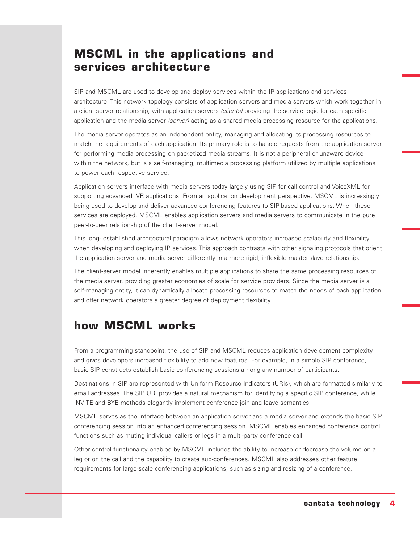# **MSCML in the applications and services architecture**

SIP and MSCML are used to develop and deploy services within the IP applications and services architecture. This network topology consists of application servers and media servers which work together in a client-server relationship, with application servers (clients) providing the service logic for each specific application and the media server (server) acting as a shared media processing resource for the applications.

The media server operates as an independent entity, managing and allocating its processing resources to match the requirements of each application. Its primary role is to handle requests from the application server for performing media processing on packetized media streams. It is not a peripheral or unaware device within the network, but is a self-managing, multimedia processing platform utilized by multiple applications to power each respective service.

Application servers interface with media servers today largely using SIP for call control and VoiceXML for supporting advanced IVR applications. From an application development perspective, MSCML is increasingly being used to develop and deliver advanced conferencing features to SIP-based applications. When these services are deployed, MSCML enables application servers and media servers to communicate in the pure peer-to-peer relationship of the client-server model.

This long- established architectural paradigm allows network operators increased scalability and flexibility when developing and deploying IP services. This approach contrasts with other signaling protocols that orient the application server and media server differently in a more rigid, inflexible master-slave relationship.

The client-server model inherently enables multiple applications to share the same processing resources of the media server, providing greater economies of scale for service providers. Since the media server is a self-managing entity, it can dynamically allocate processing resources to match the needs of each application and offer network operators a greater degree of deployment flexibility.

### **how MSCML works**

From a programming standpoint, the use of SIP and MSCML reduces application development complexity and gives developers increased flexibility to add new features. For example, in a simple SIP conference, basic SIP constructs establish basic conferencing sessions among any number of participants.

Destinations in SIP are represented with Uniform Resource Indicators (URIs), which are formatted similarly to email addresses. The SIP URI provides a natural mechanism for identifying a specific SIP conference, while INVITE and BYE methods elegantly implement conference join and leave semantics.

MSCML serves as the interface between an application server and a media server and extends the basic SIP conferencing session into an enhanced conferencing session. MSCML enables enhanced conference control functions such as muting individual callers or legs in a multi-party conference call.

Other control functionality enabled by MSCML includes the ability to increase or decrease the volume on a leg or on the call and the capability to create sub-conferences. MSCML also addresses other feature requirements for large-scale conferencing applications, such as sizing and resizing of a conference,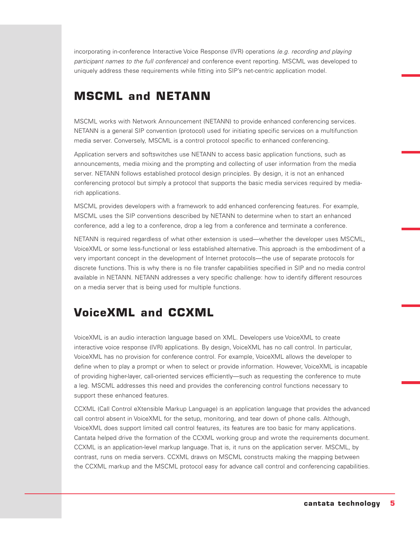incorporating in-conference Interactive Voice Response (IVR) operations (e.g. recording and playing participant names to the full conference) and conference event reporting. MSCML was developed to uniquely address these requirements while fitting into SIP's net-centric application model.

# **MSCML and NETANN**

MSCML works with Network Announcement (NETANN) to provide enhanced conferencing services. NETANN is a general SIP convention (protocol) used for initiating specific services on a multifunction media server. Conversely, MSCML is a control protocol specific to enhanced conferencing.

Application servers and softswitches use NETANN to access basic application functions, such as announcements, media mixing and the prompting and collecting of user information from the media server. NETANN follows established protocol design principles. By design, it is not an enhanced conferencing protocol but simply a protocol that supports the basic media services required by mediarich applications.

MSCML provides developers with a framework to add enhanced conferencing features. For example, MSCML uses the SIP conventions described by NETANN to determine when to start an enhanced conference, add a leg to a conference, drop a leg from a conference and terminate a conference.

NETANN is required regardless of what other extension is used—whether the developer uses MSCML, VoiceXML or some less-functional or less established alternative. This approach is the embodiment of a very important concept in the development of Internet protocols—the use of separate protocols for discrete functions. This is why there is no file transfer capabilities specified in SIP and no media control available in NETANN. NETANN addresses a very specific challenge: how to identify different resources on a media server that is being used for multiple functions.

# **VoiceXML and CCXML**

VoiceXML is an audio interaction language based on XML. Developers use VoiceXML to create interactive voice response (IVR) applications. By design, VoiceXML has no call control. In particular, VoiceXML has no provision for conference control. For example, VoiceXML allows the developer to define when to play a prompt or when to select or provide information. However, VoiceXML is incapable of providing higher-layer, call-oriented services efficiently—such as requesting the conference to mute a leg. MSCML addresses this need and provides the conferencing control functions necessary to support these enhanced features.

CCXML (Call Control eXtensible Markup Language) is an application language that provides the advanced call control absent in VoiceXML for the setup, monitoring, and tear down of phone calls. Although, VoiceXML does support limited call control features, its features are too basic for many applications. Cantata helped drive the formation of the CCXML working group and wrote the requirements document. CCXML is an application-level markup language. That is, it runs on the application server. MSCML, by contrast, runs on media servers. CCXML draws on MSCML constructs making the mapping between the CCXML markup and the MSCML protocol easy for advance call control and conferencing capabilities.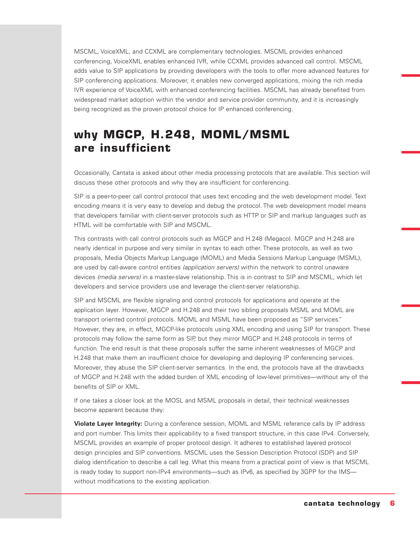MSCML, VoiceXML, and CCXML are complementary technologies. MSCML provides enhanced conferencing, VoiceXML enables enhanced IVR, while CCXML provides advanced call control. MSCML adds value to SIP applications by providing developers with the tools to offer more advanced features for SIP conferencing applications. Moreover, it enables new converged applications, mixing the rich media IVR experience of VoiceXML with enhanced conferencing facilities. MSCML has already benefited from widespread market adoption within the vendor and service provider community, and it is increasingly being recognized as the proven protocol choice for IP enhanced conferencing.

# **why MGCP, H.248, MOML/MSML are insufficient**

Occasionally, Cantata is asked about other media processing protocols that are available. This section will discuss these other protocols and why they are insufficient for conferencing.

SIP is a peer-to-peer call control protocol that uses text encoding and the web development model. Text encoding means it is very easy to develop and debug the protocol. The web development model means that developers familiar with client-server protocols such as HTTP or SIP and markup languages such as HTML will be comfortable with SIP and MSCML.

This contrasts with call control protocols such as MGCP and H.248 (Megaco). MGCP and H.248 are nearly identical in purpose and very similar in syntax to each other. These protocols, as well as two proposals, Media Objects Markup Language (MOML) and Media Sessions Markup Language (MSML), are used by call-aware control entities (application servers) within the network to control unaware devices (media servers) in a master-slave relationship. This is in contrast to SIP and MSCML, which let developers and service providers use and leverage the client-server relationship.

SIP and MSCML are flexible signaling and control protocols for applications and operate at the application layer. However, MGCP and H.248 and their two sibling proposals MSML and MOML are transport oriented control protocols. MOML and MSML have been proposed as "SIP services." However, they are, in effect, MGCP-like protocols using XML encoding and using SIP for transport. These protocols may follow the same form as SIP, but they mirror MGCP and H.248 protocols in terms of function. The end result is that these proposals suffer the same inherent weaknesses of MGCP and H.248 that make them an insufficient choice for developing and deploying IP conferencing services. Moreover, they abuse the SIP client-server semantics. In the end, the protocols have all the drawbacks of MGCP and H.248 with the added burden of XML encoding of low-level primitives—without any of the benefits of SIP or XML.

If one takes a closer look at the MOSL and MSML proposals in detail, their technical weaknesses become apparent because they:

**Violate Layer Integrity:** During a conference session, MOML and MSML reference calls by IP address and port number. This limits their applicability to a fixed transport structure, in this case IPv4. Conversely, MSCML provides an example of proper protocol design. It adheres to established layered protocol design principles and SIP conventions. MSCML uses the Session Description Protocol (SDP) and SIP dialog identification to describe a call leg. What this means from a practical point of view is that MSCML is ready today to support non-IPv4 environments—such as IPv6, as specified by 3GPP for the IMS without modifications to the existing application.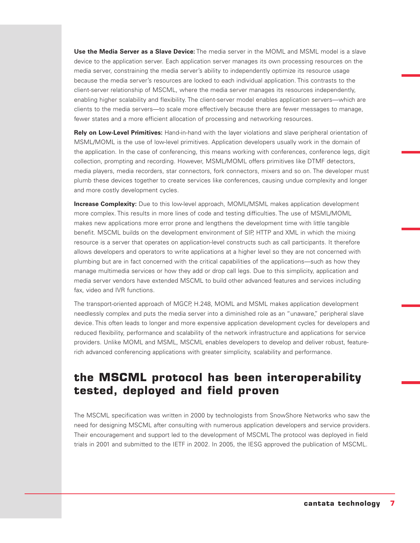**Use the Media Server as a Slave Device:** The media server in the MOML and MSML model is a slave device to the application server. Each application server manages its own processing resources on the media server, constraining the media server's ability to independently optimize its resource usage because the media server's resources are locked to each individual application. This contrasts to the client-server relationship of MSCML, where the media server manages its resources independently, enabling higher scalability and flexibility. The client-server model enables application servers—which are clients to the media servers—to scale more effectively because there are fewer messages to manage, fewer states and a more efficient allocation of processing and networking resources.

**Rely on Low-Level Primitives:** Hand-in-hand with the layer violations and slave peripheral orientation of MSML/MOML is the use of low-level primitives. Application developers usually work in the domain of the application. In the case of conferencing, this means working with conferences, conference legs, digit collection, prompting and recording. However, MSML/MOML offers primitives like DTMF detectors, media players, media recorders, star connectors, fork connectors, mixers and so on. The developer must plumb these devices together to create services like conferences, causing undue complexity and longer and more costly development cycles.

**Increase Complexity:** Due to this low-level approach, MOML/MSML makes application development more complex. This results in more lines of code and testing difficulties. The use of MSML/MOML makes new applications more error prone and lengthens the development time with little tangible benefit. MSCML builds on the development environment of SIP, HTTP and XML in which the mixing resource is a server that operates on application-level constructs such as call participants. It therefore allows developers and operators to write applications at a higher level so they are not concerned with plumbing but are in fact concerned with the critical capabilities of the applications—such as how they manage multimedia services or how they add or drop call legs. Due to this simplicity, application and media server vendors have extended MSCML to build other advanced features and services including fax, video and IVR functions.

The transport-oriented approach of MGCP, H.248, MOML and MSML makes application development needlessly complex and puts the media server into a diminished role as an "unaware," peripheral slave device. This often leads to longer and more expensive application development cycles for developers and reduced flexibility, performance and scalability of the network infrastructure and applications for service providers. Unlike MOML and MSML, MSCML enables developers to develop and deliver robust, featurerich advanced conferencing applications with greater simplicity, scalability and performance.

## **the MSCML protocol has been interoperability tested, deployed and field proven**

The MSCML specification was written in 2000 by technologists from SnowShore Networks who saw the need for designing MSCML after consulting with numerous application developers and service providers. Their encouragement and support led to the development of MSCML The protocol was deployed in field trials in 2001 and submitted to the IETF in 2002. In 2005, the IESG approved the publication of MSCML.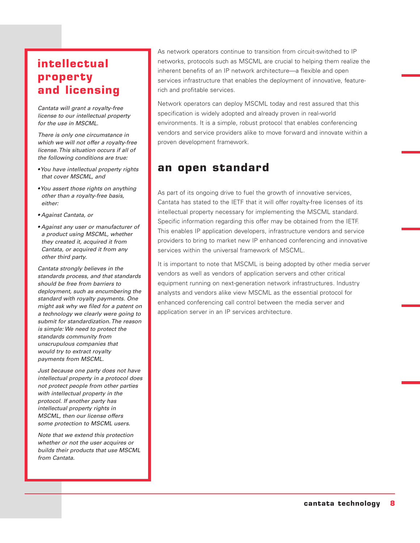# **intellectual property and licensing**

Cantata will grant a royalty-free license to our intellectual property for the use in MSCML.

There is only one circumstance in which we will not offer a royalty-free license. This situation occurs if all of the following conditions are true:

- You have intellectual property rights that cover MSCML, and
- You assert those rights on anything other than a royalty-free basis, either:
- Against Cantata, or
- Against any user or manufacturer of a product using MSCML, whether they created it, acquired it from Cantata, or acquired it from any other third party.

Cantata strongly believes in the standards process, and that standards should be free from barriers to deployment, such as encumbering the standard with royalty payments. One might ask why we filed for a patent on a technology we clearly were going to submit for standardization. The reason is simple: We need to protect the standards community from unscrupulous companies that would try to extract royalty payments from MSCML.

Just because one party does not have intellectual property in a protocol does not protect people from other parties with intellectual property in the protocol. If another party has intellectual property rights in MSCML, then our license offers some protection to MSCML users.

Note that we extend this protection whether or not the user acquires or builds their products that use MSCML from Cantata.

As network operators continue to transition from circuit-switched to IP networks, protocols such as MSCML are crucial to helping them realize the inherent benefits of an IP network architecture—a flexible and open services infrastructure that enables the deployment of innovative, featurerich and profitable services.

Network operators can deploy MSCML today and rest assured that this specification is widely adopted and already proven in real-world environments. It is a simple, robust protocol that enables conferencing vendors and service providers alike to move forward and innovate within a proven development framework.

### **an open standard**

As part of its ongoing drive to fuel the growth of innovative services, Cantata has stated to the IETF that it will offer royalty-free licenses of its intellectual property necessary for implementing the MSCML standard. Specific information regarding this offer may be obtained from the IETF. This enables IP application developers, infrastructure vendors and service providers to bring to market new IP enhanced conferencing and innovative services within the universal framework of MSCML.

It is important to note that MSCML is being adopted by other media server vendors as well as vendors of application servers and other critical equipment running on next-generation network infrastructures. Industry analysts and vendors alike view MSCML as the essential protocol for enhanced conferencing call control between the media server and application server in an IP services architecture.